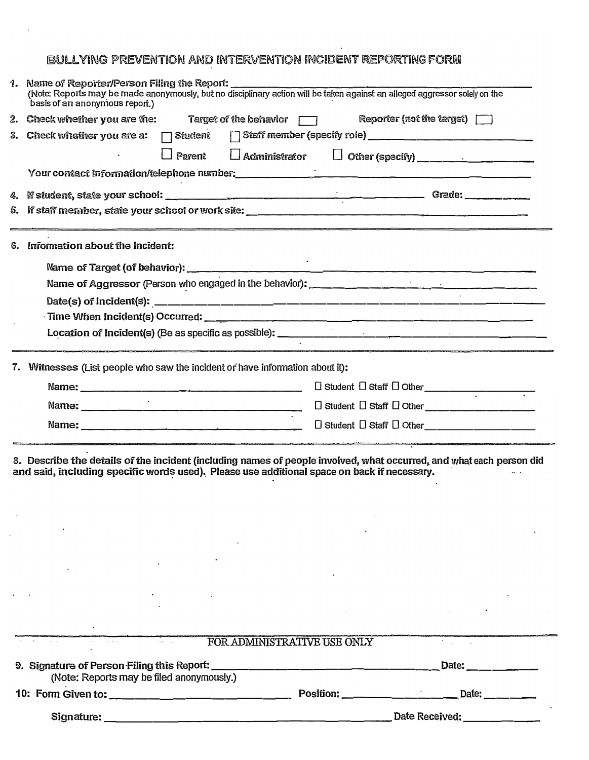## BULLYING PREVENTION AND INTERVENTION INCIDENT REPORTING FORM

| 1.   Name of Reporter/Person Filing the Report: ______<br>(Note: Reports may be made anonymously, but no disciplinary action will be taken against an alleged aggressor solely on the<br>basis of an anonymous report.) |  |  |  |  |
|-------------------------------------------------------------------------------------------------------------------------------------------------------------------------------------------------------------------------|--|--|--|--|
| Reporter (not the target)<br>Target of the behavior $\Box$<br>2. Check whether you are the:                                                                                                                             |  |  |  |  |
| 3. Check whether you are a:<br>$\Box$ Student                                                                                                                                                                           |  |  |  |  |
| Parent                                                                                                                                                                                                                  |  |  |  |  |
|                                                                                                                                                                                                                         |  |  |  |  |
|                                                                                                                                                                                                                         |  |  |  |  |
|                                                                                                                                                                                                                         |  |  |  |  |
| 6. Information about the Incident:                                                                                                                                                                                      |  |  |  |  |
|                                                                                                                                                                                                                         |  |  |  |  |
| Name of Aggressor (Person who engaged in the behavior): _________________________                                                                                                                                       |  |  |  |  |
|                                                                                                                                                                                                                         |  |  |  |  |
|                                                                                                                                                                                                                         |  |  |  |  |
|                                                                                                                                                                                                                         |  |  |  |  |
| 7. Witnesses (List people who saw the incident or have information about it):                                                                                                                                           |  |  |  |  |
|                                                                                                                                                                                                                         |  |  |  |  |
|                                                                                                                                                                                                                         |  |  |  |  |
| $\Box$ Student $\Box$ Staff $\Box$ Other                                                                                                                                                                                |  |  |  |  |
| 8. Describe the details of the incident (including names of people involved, what occurred, and what each person did<br>and said, including specific words used). Please use additional space on back if necessary.     |  |  |  |  |

| $\lambda$ and $\lambda$                   | FOR ADMINISTRATIVE USE ONLY                                                                                                                                                                                                   |                       |
|-------------------------------------------|-------------------------------------------------------------------------------------------------------------------------------------------------------------------------------------------------------------------------------|-----------------------|
| (Note: Reports may be filed anonymously.) |                                                                                                                                                                                                                               | Date: _               |
| 10: Form Given to: __________________     | Position: The contract of the contract of the contract of the contract of the contract of the contract of the contract of the contract of the contract of the contract of the contract of the contract of the contract of the | Date:                 |
| Signature:                                |                                                                                                                                                                                                                               | Date Received: ______ |